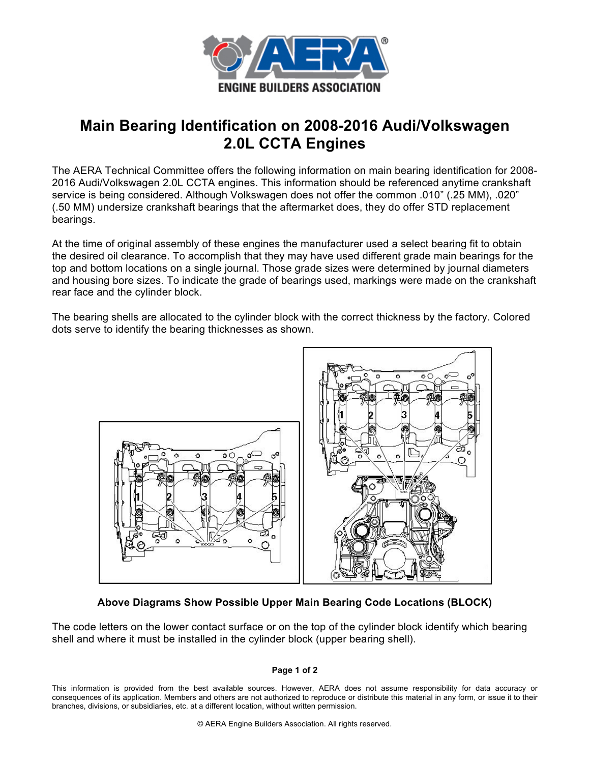

# **Main Bearing Identification on 2008-2016 Audi/Volkswagen 2.0L CCTA Engines**

The AERA Technical Committee offers the following information on main bearing identification for 2008- 2016 Audi/Volkswagen 2.0L CCTA engines. This information should be referenced anytime crankshaft service is being considered. Although Volkswagen does not offer the common .010" (.25 MM), .020" (.50 MM) undersize crankshaft bearings that the aftermarket does, they do offer STD replacement bearings.

At the time of original assembly of these engines the manufacturer used a select bearing fit to obtain the desired oil clearance. To accomplish that they may have used different grade main bearings for the top and bottom locations on a single journal. Those grade sizes were determined by journal diameters and housing bore sizes. To indicate the grade of bearings used, markings were made on the crankshaft rear face and the cylinder block.

The bearing shells are allocated to the cylinder block with the correct thickness by the factory. Colored dots serve to identify the bearing thicknesses as shown.



## **Above Diagrams Show Possible Upper Main Bearing Code Locations (BLOCK)**

The code letters on the lower contact surface or on the top of the cylinder block identify which bearing shell and where it must be installed in the cylinder block (upper bearing shell).

### **Page 1 of 2**

This information is provided from the best available sources. However, AERA does not assume responsibility for data accuracy or consequences of its application. Members and others are not authorized to reproduce or distribute this material in any form, or issue it to their branches, divisions, or subsidiaries, etc. at a different location, without written permission.